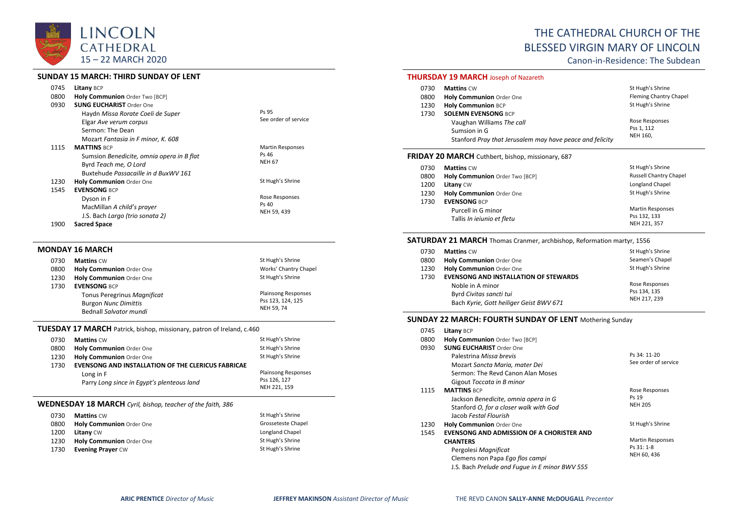

## **SUNDAY 15 MARCH: THIRD SUNDAY OF LENT**

| 0745<br>0800<br>0930 | <b>Litany BCP</b><br>Holy Communion Order Two [BCP]<br><b>SUNG EUCHARIST Order One</b>                                                                                 |                                                   |
|----------------------|------------------------------------------------------------------------------------------------------------------------------------------------------------------------|---------------------------------------------------|
|                      | Haydn Missa Rorate Coeli de Super<br>Elgar Ave verum corpus<br>Sermon: The Dean                                                                                        | Ps 95<br>See order of service                     |
| 1115                 | Mozart Fantasia in F minor, K. 608<br><b>MATTINS BCP</b><br>Sumsion Benedicite, omnia opera in B flat<br>Byrd Teach me, O Lord<br>Buxtehude Passacaille in d BuxWV 161 | <b>Martin Responses</b><br>Ps 46<br><b>NEH 67</b> |
| 1230<br>1545         | <b>Holy Communion Order One</b><br><b>EVENSONG BCP</b>                                                                                                                 | St Hugh's Shrine                                  |
|                      | Dyson in F<br>MacMillan A child's prayer<br>J.S. Bach Largo (trio sonata 2)                                                                                            | Rose Responses<br>Ps 40<br>NEH 59, 439            |

1900 **Sacred Space**

#### **MONDAY 16 MARCH**

| 0730 | <b>Mattins CW</b>           | St Hugh's Shrine           |
|------|-----------------------------|----------------------------|
| 0800 | Holy Communion Order One    | Works' Chantry Chapel      |
| 1230 | Holy Communion Order One    | St Hugh's Shrine           |
| 1730 | <b>EVENSONG BCP</b>         |                            |
|      | Tonus Peregrinus Magnificat | <b>Plainsong Responses</b> |
|      | <b>Burgon Nunc Dimittis</b> | Pss 123, 124, 125          |
|      | Bednall Salvator mundi      | <b>NEH 59.74</b>           |
|      |                             |                            |

## **TUESDAY 17 MARCH** Patrick, bishop, missionary, patron of Ireland, c.460

| 0730 | <b>Mattins CW</b>                                         | St Hugh's Shrine             |
|------|-----------------------------------------------------------|------------------------------|
| 0800 | <b>Holy Communion</b> Order One                           | St Hugh's Shrine             |
| 1230 | Holy Communion Order One                                  | St Hugh's Shrine             |
| 1730 | <b>EVENSONG AND INSTALLATION OF THE CLERICUS FABRICAE</b> |                              |
|      | Long in F                                                 | <b>Plainsong Responses</b>   |
|      | Parry Long since in Egypt's plenteous land                | Pss 126, 127<br>NEH 221, 159 |

### **WEDNESDAY 18 MARCH** *Cyril, bishop, teacher of the faith, 386*

| 0730 | <b>Mattins CW</b>        | St Hugh's Shrine   |
|------|--------------------------|--------------------|
| 0800 | Holy Communion Order One | Grosseteste Chapel |
| 1200 | <b>Litany CW</b>         | Longland Chapel    |
| 1230 | Holy Communion Order One | St Hugh's Shrine   |
| 1730 | <b>Evening Prayer CW</b> | St Hugh's Shrine   |

# THE CATHEDRAL CHURCH OF THE BLESSED VIRGIN MARY OF LINCOLN

Canon-in-Residence: The Subdean

# **THURSDAY 19 MARCH** Joseph of Nazareth

| 0730 | <b>Mattins CW</b>                                        | St Hugh's Shrine       |
|------|----------------------------------------------------------|------------------------|
| 0800 | Holy Communion Order One                                 | Fleming Chantry Chapel |
| 1230 | <b>Holy Communion BCP</b>                                | St Hugh's Shrine       |
| 1730 | <b>SOLEMN EVENSONG BCP</b>                               |                        |
|      | Vaughan Williams The call                                | Rose Responses         |
|      | Sumsion in G                                             | Pss 1, 112             |
|      | Stanford Pray that Jerusalem may have peace and felicity | NEH 160,               |
|      |                                                          |                        |

# **FRIDAY 20 MARCH** Cuthbert, bishop, missionary, 687

| 0730 | <b>Mattins CW</b>              | St Hugh's Shrine              |
|------|--------------------------------|-------------------------------|
| 0800 | Holy Communion Order Two [BCP] | <b>Russell Chantry Chapel</b> |
| 1200 | Litany CW                      | Longland Chapel               |
| 1230 | Holy Communion Order One       | St Hugh's Shrine              |
| 1730 | <b>EVENSONG BCP</b>            |                               |
|      | Purcell in G minor             | <b>Martin Responses</b>       |
|      | Tallis In ieiunio et fletu     | Pss 132, 133                  |
|      |                                | NEH 221, 357                  |

## **SATURDAY 21 MARCH** Thomas Cranmer, archbishop, Reformation martyr, 1556

| 0730 | <b>Mattins CW</b>                            | St Hugh's Shrine |
|------|----------------------------------------------|------------------|
| 0800 | Holy Communion Order One                     | Seamen's Chapel  |
| 1230 | Holy Communion Order One                     | St Hugh's Shrine |
| 1730 | <b>EVENSONG AND INSTALLATION OF STEWARDS</b> |                  |
|      | Noble in A minor                             | Rose Responses   |
|      | Byrd Civitas sancti tui                      | Pss 134, 135     |
|      | Bach Kyrie, Gott heiliger Geist BWV 671      | NEH 217, 239     |

#### **SUNDAY 22 MARCH: FOURTH SUNDAY OF LENT** Mothering Sunday

| 0745 | Litany BCP                                     |                         |
|------|------------------------------------------------|-------------------------|
| 0800 | Holy Communion Order Two [BCP]                 |                         |
| 0930 | <b>SUNG EUCHARIST Order One</b>                |                         |
|      | Palestrina Missa brevis                        | Ps 34: 11-20            |
|      | Mozart Sancta Maria, mater Dei                 | See order of service    |
|      | Sermon: The Revd Canon Alan Moses              |                         |
|      | Gigout Toccata in B minor                      |                         |
| 1115 | <b>MATTINS BCP</b>                             | Rose Responses          |
|      | Jackson Benedicite, omnia opera in G           | Ps 19                   |
|      | Stanford O, for a closer walk with God         | <b>NEH 205</b>          |
|      | Jacob Festal Flourish                          |                         |
| 1230 | <b>Holy Communion Order One</b>                | St Hugh's Shrine        |
| 1545 | EVENSONG AND ADMISSION OF A CHORISTER AND      |                         |
|      | <b>CHANTERS</b>                                | <b>Martin Responses</b> |
|      | Pergolesi Magnificat                           | Ps 31: 1-8              |
|      | Clemens non Papa Ego flos campi                | NEH 60, 436             |
|      | J.S. Bach Prelude and Fugue in E minor BWV 555 |                         |